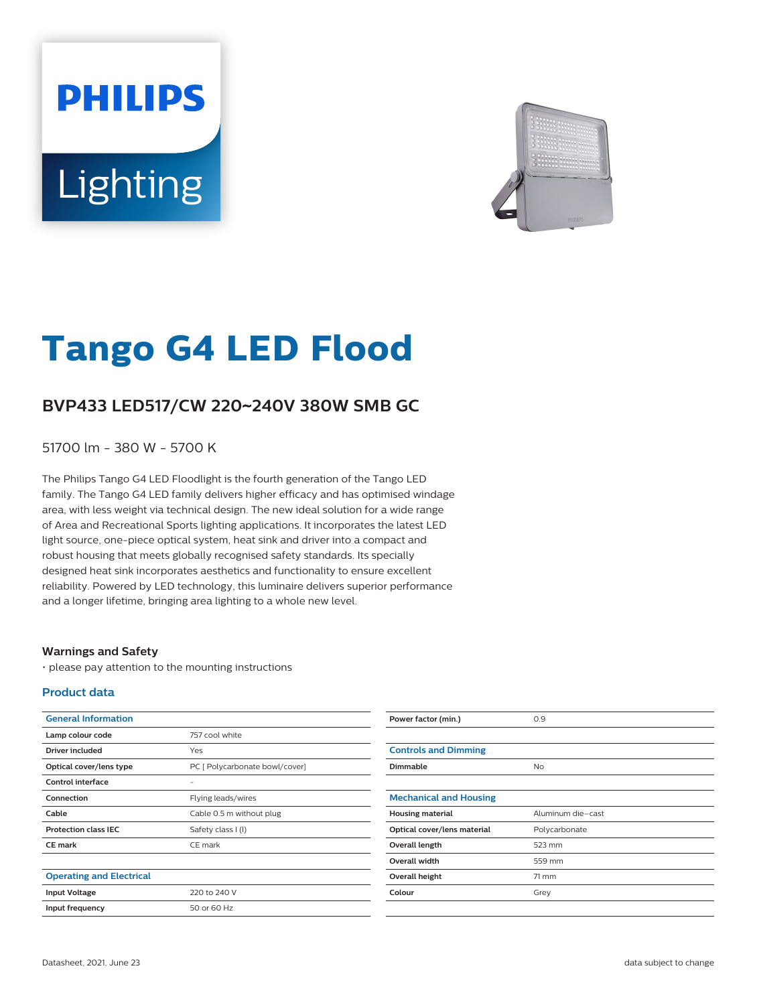# **PHILIPS** Lighting



# **Tango G4 LED Flood**

## **BVP433 LED517/CW 220**~**240V 380W SMB GC**

51700 lm - 380 W - 5700 K

The Philips Tango G4 LED Floodlight is the fourth generation of the Tango LED family. The Tango G4 LED family delivers higher efficacy and has optimised windage area, with less weight via technical design. The new ideal solution for a wide range of Area and Recreational Sports lighting applications. It incorporates the latest LED light source, one-piece optical system, heat sink and driver into a compact and robust housing that meets globally recognised safety standards. Its specially designed heat sink incorporates aesthetics and functionality to ensure excellent reliability. Powered by LED technology, this luminaire delivers superior performance and a longer lifetime, bringing area lighting to a whole new level.

#### **Warnings and Safety**

• please pay attention to the mounting instructions

#### **Product data**

| <b>General Information</b>      |                                | Power factor (min.)           | 0.9               |
|---------------------------------|--------------------------------|-------------------------------|-------------------|
| Lamp colour code                | 757 cool white                 |                               |                   |
| <b>Driver included</b>          | Yes                            | <b>Controls and Dimming</b>   |                   |
| Optical cover/lens type         | PC [ Polycarbonate bowl/cover] | Dimmable                      | <b>No</b>         |
| <b>Control interface</b>        | $\overline{\phantom{m}}$       |                               |                   |
| Connection                      | Flying leads/wires             | <b>Mechanical and Housing</b> |                   |
| Cable                           | Cable 0.5 m without plug       | <b>Housing material</b>       | Aluminum die-cast |
| <b>Protection class IEC</b>     | Safety class I (I)             | Optical cover/lens material   | Polycarbonate     |
| <b>CE</b> mark                  | CE mark                        | Overall length                | 523 mm            |
|                                 |                                | Overall width                 | 559 mm            |
| <b>Operating and Electrical</b> |                                | Overall height                | 71 mm             |
| <b>Input Voltage</b>            | 220 to 240 V                   | Colour                        | Grey              |
| Input frequency                 | 50 or 60 Hz                    |                               |                   |
|                                 |                                |                               |                   |